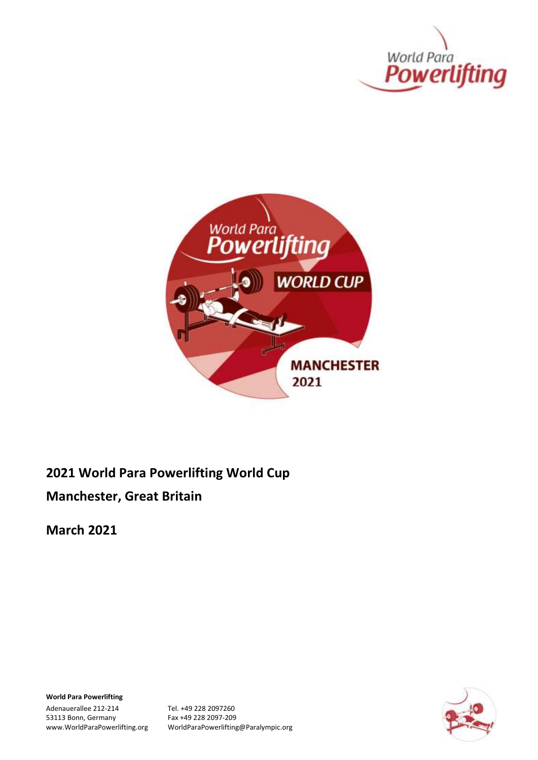



**2021 World Para Powerlifting World Cup**

**Manchester, Great Britain**

**March 2021**

**World Para Powerlifting**

Adenauerallee 212-214 Tel. +49 228 2097260 53113 Bonn, Germany Fax +49 228 2097-209<br>www.WorldParaPowerlifting.org WorldParaPowerlifting

WorldParaPowerlifting@Paralympic.org

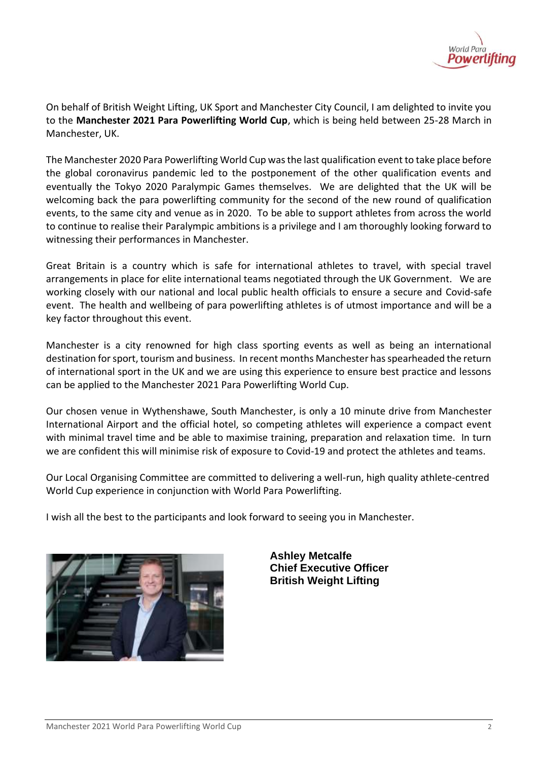

On behalf of British Weight Lifting, UK Sport and Manchester City Council, I am delighted to invite you to the **Manchester 2021 Para Powerlifting World Cup**, which is being held between 25-28 March in Manchester, UK.

The Manchester 2020 Para Powerlifting World Cup was the last qualification event to take place before the global coronavirus pandemic led to the postponement of the other qualification events and eventually the Tokyo 2020 Paralympic Games themselves. We are delighted that the UK will be welcoming back the para powerlifting community for the second of the new round of qualification events, to the same city and venue as in 2020. To be able to support athletes from across the world to continue to realise their Paralympic ambitions is a privilege and I am thoroughly looking forward to witnessing their performances in Manchester.

Great Britain is a country which is safe for international athletes to travel, with special travel arrangements in place for elite international teams negotiated through the UK Government. We are working closely with our national and local public health officials to ensure a secure and Covid-safe event. The health and wellbeing of para powerlifting athletes is of utmost importance and will be a key factor throughout this event.

Manchester is a city renowned for high class sporting events as well as being an international destination for sport, tourism and business. In recent months Manchester has spearheaded the return of international sport in the UK and we are using this experience to ensure best practice and lessons can be applied to the Manchester 2021 Para Powerlifting World Cup.

Our chosen venue in Wythenshawe, South Manchester, is only a 10 minute drive from Manchester International Airport and the official hotel, so competing athletes will experience a compact event with minimal travel time and be able to maximise training, preparation and relaxation time. In turn we are confident this will minimise risk of exposure to Covid-19 and protect the athletes and teams.

Our Local Organising Committee are committed to delivering a well-run, high quality athlete-centred World Cup experience in conjunction with World Para Powerlifting.

I wish all the best to the participants and look forward to seeing you in Manchester.



**Ashley Metcalfe Chief Executive Officer British Weight Lifting**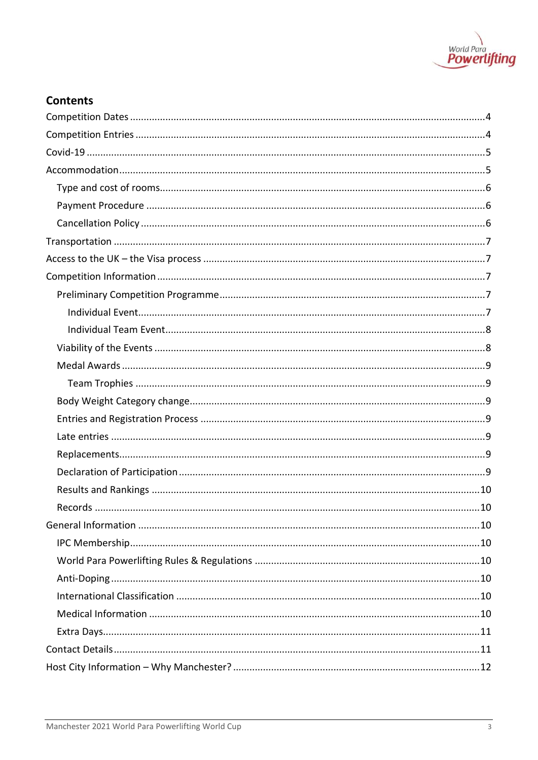

## **Contents**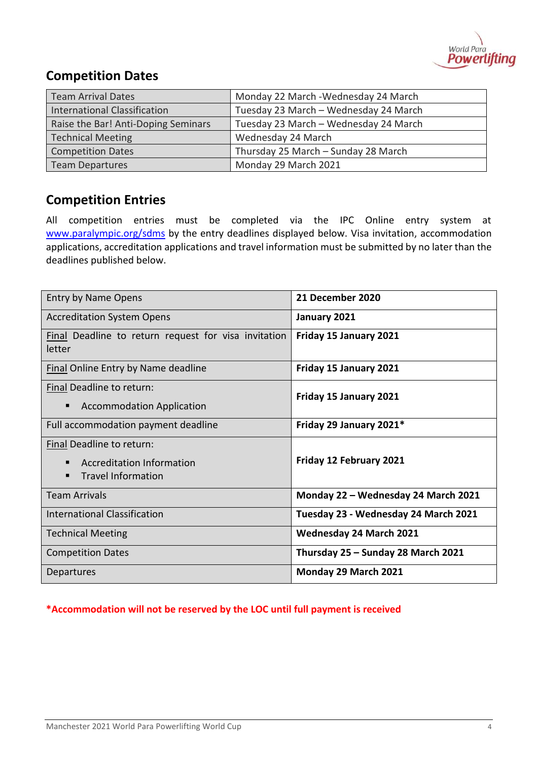

# <span id="page-3-0"></span>**Competition Dates**

| <b>Team Arrival Dates</b>           | Monday 22 March - Wednesday 24 March  |
|-------------------------------------|---------------------------------------|
| <b>International Classification</b> | Tuesday 23 March - Wednesday 24 March |
| Raise the Bar! Anti-Doping Seminars | Tuesday 23 March - Wednesday 24 March |
| <b>Technical Meeting</b>            | Wednesday 24 March                    |
| <b>Competition Dates</b>            | Thursday 25 March - Sunday 28 March   |
| <b>Team Departures</b>              | Monday 29 March 2021                  |

# <span id="page-3-1"></span>**Competition Entries**

All competition entries must be completed via the IPC Online entry system at [www.paralympic.org/sdms](http://www.paralympic.org/sdms) by the entry deadlines displayed below. Visa invitation, accommodation applications, accreditation applications and travel information must be submitted by no later than the deadlines published below.

| <b>Entry by Name Opens</b>                                                               | 21 December 2020                     |
|------------------------------------------------------------------------------------------|--------------------------------------|
| <b>Accreditation System Opens</b>                                                        | January 2021                         |
| Final Deadline to return request for visa invitation<br>letter                           | Friday 15 January 2021               |
| <b>Final Online Entry by Name deadline</b>                                               | Friday 15 January 2021               |
| Final Deadline to return:<br><b>Accommodation Application</b><br>п                       | Friday 15 January 2021               |
| Full accommodation payment deadline                                                      | Friday 29 January 2021*              |
| Final Deadline to return:<br>Accreditation Information<br><b>Travel Information</b><br>▪ | Friday 12 February 2021              |
| <b>Team Arrivals</b>                                                                     | Monday 22 - Wednesday 24 March 2021  |
| <b>International Classification</b>                                                      | Tuesday 23 - Wednesday 24 March 2021 |
| <b>Technical Meeting</b>                                                                 | <b>Wednesday 24 March 2021</b>       |
| <b>Competition Dates</b>                                                                 | Thursday 25 - Sunday 28 March 2021   |
| Departures                                                                               | Monday 29 March 2021                 |

## **\*Accommodation will not be reserved by the LOC until full payment is received**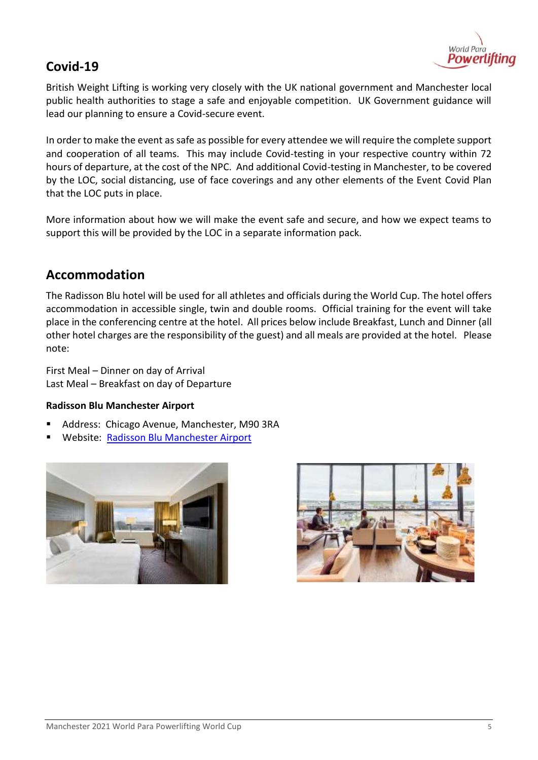

## <span id="page-4-0"></span>**Covid-19**

British Weight Lifting is working very closely with the UK national government and Manchester local public health authorities to stage a safe and enjoyable competition. UK Government guidance will lead our planning to ensure a Covid-secure event.

In order to make the event as safe as possible for every attendee we will require the complete support and cooperation of all teams. This may include Covid-testing in your respective country within 72 hours of departure, at the cost of the NPC. And additional Covid-testing in Manchester, to be covered by the LOC, social distancing, use of face coverings and any other elements of the Event Covid Plan that the LOC puts in place.

More information about how we will make the event safe and secure, and how we expect teams to support this will be provided by the LOC in a separate information pack.

## <span id="page-4-1"></span>**Accommodation**

The Radisson Blu hotel will be used for all athletes and officials during the World Cup. The hotel offers accommodation in accessible single, twin and double rooms. Official training for the event will take place in the conferencing centre at the hotel. All prices below include Breakfast, Lunch and Dinner (all other hotel charges are the responsibility of the guest) and all meals are provided at the hotel. Please note:

First Meal – Dinner on day of Arrival Last Meal – Breakfast on day of Departure

## **Radisson Blu Manchester Airport**

- Address: Chicago Avenue, Manchester, M90 3RA
- Website: [Radisson Blu Manchester Airport](https://www.radissonhotels.com/en-us/hotels/radisson-blu-manchester-airport?facilitatorId=RHGSEM&cid=a%3Aps%2Bb%3Abng%2Bc%3Aemea%2Bi%3Abrand%2Be%3Ardb%2Bd%3Aukirwe%2Bf%3Aen-US%2Bg%3Aho%2Bh%3AMANZQ%2Bv%3Acf&mkwid=ktbYAg52_dc&pcrid=75179211471883&pkw=radisson%20blu%20manchester%20airport&pmt=be&slid=&pgrid=1202866173768140&ptaid=kwd-75179301032465:loc-188&utm_source=bing&utm_medium=cpc&utm_campaign=MS_GBR-IRL_CR_UKIRWE_sk_Brand_Manchester_MANZQ_EN_EX&utm_term=radisson%20blu%20manchester%20airport&utm_content=Brand_Manchester_Hotel_EX_A.%20Migration)



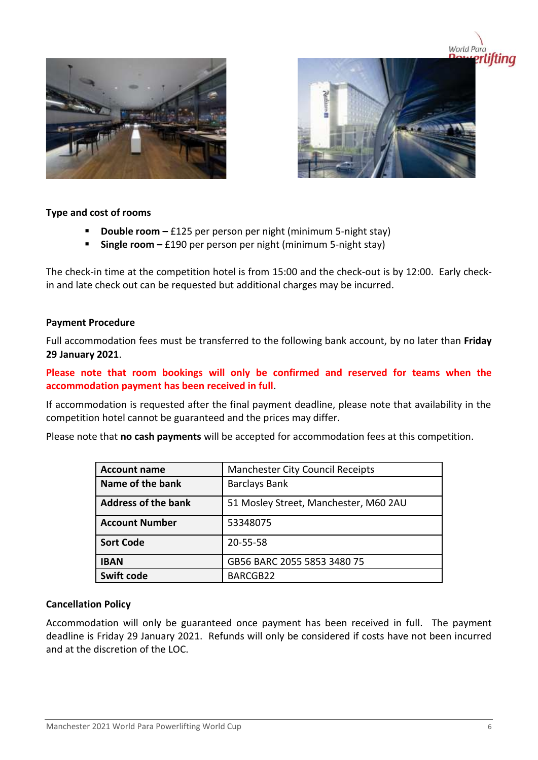



## <span id="page-5-0"></span>**Type and cost of rooms**

- **Double room** £125 per person per night (minimum 5-night stay)
- **Single room –** £190 per person per night (minimum 5-night stay)

The check-in time at the competition hotel is from 15:00 and the check-out is by 12:00. Early checkin and late check out can be requested but additional charges may be incurred.

## <span id="page-5-1"></span>**Payment Procedure**

Full accommodation fees must be transferred to the following bank account, by no later than **Friday 29 January 2021**.

**Please note that room bookings will only be confirmed and reserved for teams when the accommodation payment has been received in full**.

If accommodation is requested after the final payment deadline, please note that availability in the competition hotel cannot be guaranteed and the prices may differ.

Please note that **no cash payments** will be accepted for accommodation fees at this competition.

| <b>Account name</b>        | <b>Manchester City Council Receipts</b> |
|----------------------------|-----------------------------------------|
| Name of the bank           | <b>Barclays Bank</b>                    |
| <b>Address of the bank</b> | 51 Mosley Street, Manchester, M60 2AU   |
| <b>Account Number</b>      | 53348075                                |
| <b>Sort Code</b>           | 20-55-58                                |
| <b>IBAN</b>                | GB56 BARC 2055 5853 3480 75             |
| <b>Swift code</b>          | BARCGB22                                |

## <span id="page-5-2"></span>**Cancellation Policy**

Accommodation will only be guaranteed once payment has been received in full. The payment deadline is Friday 29 January 2021. Refunds will only be considered if costs have not been incurred and at the discretion of the LOC.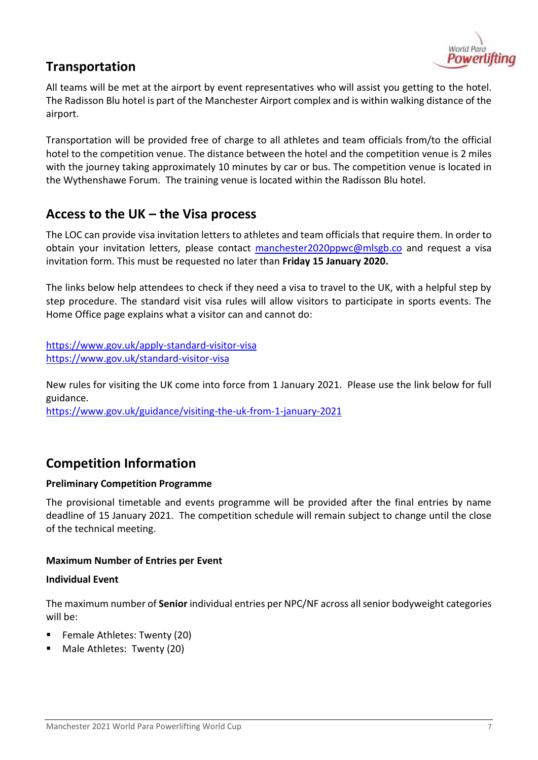

# <span id="page-6-0"></span>**Transportation**

All teams will be met at the airport by event representatives who will assist you getting to the hotel. The Radisson Blu hotel is part of the Manchester Airport complex and is within walking distance of the airport.

Transportation will be provided free of charge to all athletes and team officials from/to the official hotel to the competition venue. The distance between the hotel and the competition venue is 2 miles with the journey taking approximately 10 minutes by car or bus. The competition venue is located in the Wythenshawe Forum. The training venue is located within the Radisson Blu hotel.

## <span id="page-6-1"></span>**Access to the UK – the Visa process**

The LOC can provide visa invitation letters to athletes and team officials that require them. In order to obtain your invitation letters, please contact [manchester2020ppwc@mlsgb.co](mailto:manchester2020ppwc@mlsgb.coT) and request a visa invitation form. This must be requested no later than **Friday 15 January 2020.**

The links below help attendees to check if they need a visa to travel to the UK, with a helpful step by step procedure. The standard visit visa rules will allow visitors to participate in sports events. The Home Office page explains what a visitor can and cannot do:

<https://www.gov.uk/apply-standard-visitor-visa> <https://www.gov.uk/standard-visitor-visa>

New rules for visiting the UK come into force from 1 January 2021. Please use the link below for full guidance.

<https://www.gov.uk/guidance/visiting-the-uk-from-1-january-2021>

## <span id="page-6-2"></span>**Competition Information**

## <span id="page-6-3"></span>**Preliminary Competition Programme**

The provisional timetable and events programme will be provided after the final entries by name deadline of 15 January 2021. The competition schedule will remain subject to change until the close of the technical meeting.

## **Maximum Number of Entries per Event**

## <span id="page-6-4"></span>**Individual Event**

The maximum number of **Senior** individual entries per NPC/NF across all senior bodyweight categories will be:

- Female Athletes: Twenty (20)
- Male Athletes: Twenty (20)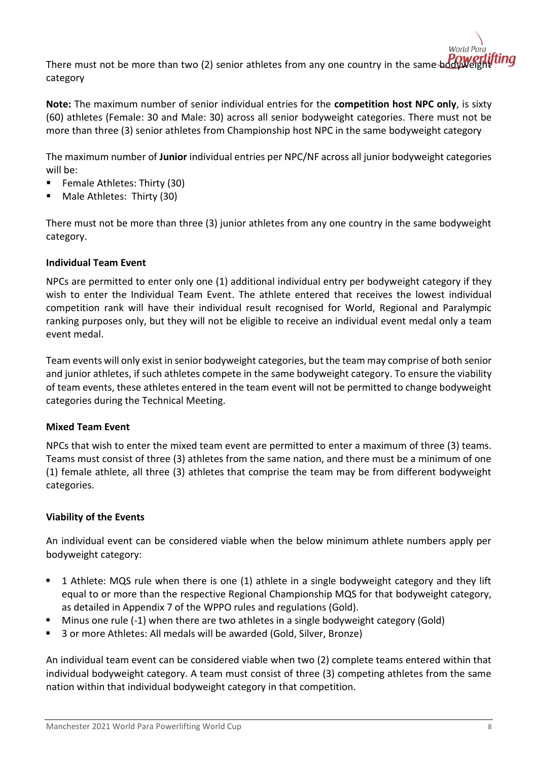There must not be more than two (2) senior athletes from any one country in the same bodywe category

**Note:** The maximum number of senior individual entries for the **competition host NPC only**, is sixty (60) athletes (Female: 30 and Male: 30) across all senior bodyweight categories. There must not be more than three (3) senior athletes from Championship host NPC in the same bodyweight category

The maximum number of **Junior** individual entries per NPC/NF across all junior bodyweight categories will be:

- Female Athletes: Thirty (30)
- Male Athletes: Thirty (30)

There must not be more than three (3) junior athletes from any one country in the same bodyweight category.

## <span id="page-7-0"></span>**Individual Team Event**

NPCs are permitted to enter only one (1) additional individual entry per bodyweight category if they wish to enter the Individual Team Event. The athlete entered that receives the lowest individual competition rank will have their individual result recognised for World, Regional and Paralympic ranking purposes only, but they will not be eligible to receive an individual event medal only a team event medal.

Team events will only exist in senior bodyweight categories, but the team may comprise of both senior and junior athletes, if such athletes compete in the same bodyweight category. To ensure the viability of team events, these athletes entered in the team event will not be permitted to change bodyweight categories during the Technical Meeting.

## **Mixed Team Event**

NPCs that wish to enter the mixed team event are permitted to enter a maximum of three (3) teams. Teams must consist of three (3) athletes from the same nation, and there must be a minimum of one (1) female athlete, all three (3) athletes that comprise the team may be from different bodyweight categories.

## <span id="page-7-1"></span>**Viability of the Events**

An individual event can be considered viable when the below minimum athlete numbers apply per bodyweight category:

- 1 Athlete: MQS rule when there is one (1) athlete in a single bodyweight category and they lift equal to or more than the respective Regional Championship MQS for that bodyweight category, as detailed in Appendix 7 of the WPPO rules and regulations (Gold).
- Minus one rule (-1) when there are two athletes in a single bodyweight category (Gold)
- 3 or more Athletes: All medals will be awarded (Gold, Silver, Bronze)

An individual team event can be considered viable when two (2) complete teams entered within that individual bodyweight category. A team must consist of three (3) competing athletes from the same nation within that individual bodyweight category in that competition.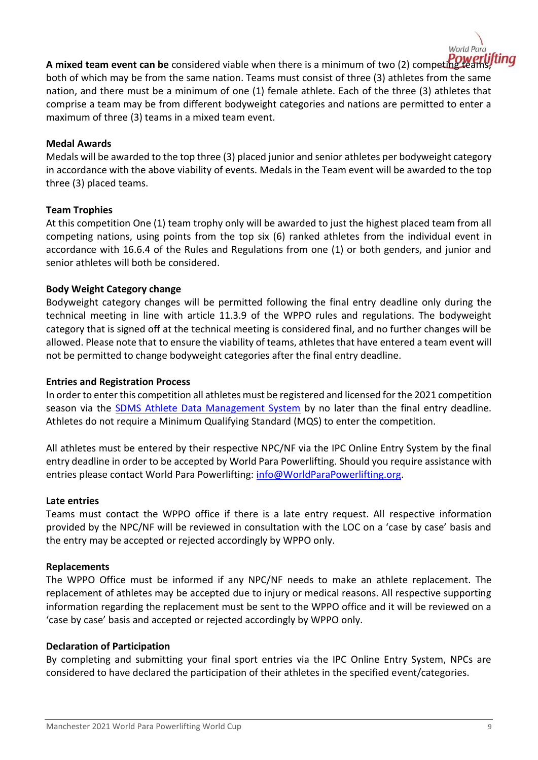

**A mixed team event can be** considered viable when there is a minimum of two (2) competing teams, both of which may be from the same nation. Teams must consist of three (3) athletes from the same nation, and there must be a minimum of one (1) female athlete. Each of the three (3) athletes that comprise a team may be from different bodyweight categories and nations are permitted to enter a maximum of three (3) teams in a mixed team event.

## <span id="page-8-0"></span>**Medal Awards**

Medals will be awarded to the top three (3) placed junior and senior athletes per bodyweight category in accordance with the above viability of events. Medals in the Team event will be awarded to the top three (3) placed teams.

#### <span id="page-8-1"></span>**Team Trophies**

At this competition One (1) team trophy only will be awarded to just the highest placed team from all competing nations, using points from the top six (6) ranked athletes from the individual event in accordance with 16.6.4 of the Rules and Regulations from one (1) or both genders, and junior and senior athletes will both be considered.

## <span id="page-8-2"></span>**Body Weight Category change**

Bodyweight category changes will be permitted following the final entry deadline only during the technical meeting in line with article 11.3.9 of the WPPO rules and regulations. The bodyweight category that is signed off at the technical meeting is considered final, and no further changes will be allowed. Please note that to ensure the viability of teams, athletes that have entered a team event will not be permitted to change bodyweight categories after the final entry deadline.

#### <span id="page-8-3"></span>**Entries and Registration Process**

In order to enter this competition all athletes must be registered and licensed for the 2021 competition season via the **SDMS Athlete Data Management System** by no later than the final entry deadline. Athletes do not require a Minimum Qualifying Standard (MQS) to enter the competition.

All athletes must be entered by their respective NPC/NF via the IPC Online Entry System by the final entry deadline in order to be accepted by World Para Powerlifting. Should you require assistance with entries please contact World Para Powerlifting: [info@WorldParaPowerlifting.org.](mailto:info@WorldParaPowerlifting.org)

#### <span id="page-8-4"></span>**Late entries**

Teams must contact the WPPO office if there is a late entry request. All respective information provided by the NPC/NF will be reviewed in consultation with the LOC on a 'case by case' basis and the entry may be accepted or rejected accordingly by WPPO only.

#### <span id="page-8-5"></span>**Replacements**

The WPPO Office must be informed if any NPC/NF needs to make an athlete replacement. The replacement of athletes may be accepted due to injury or medical reasons. All respective supporting information regarding the replacement must be sent to the WPPO office and it will be reviewed on a 'case by case' basis and accepted or rejected accordingly by WPPO only.

## <span id="page-8-6"></span>**Declaration of Participation**

By completing and submitting your final sport entries via the IPC Online Entry System, NPCs are considered to have declared the participation of their athletes in the specified event/categories.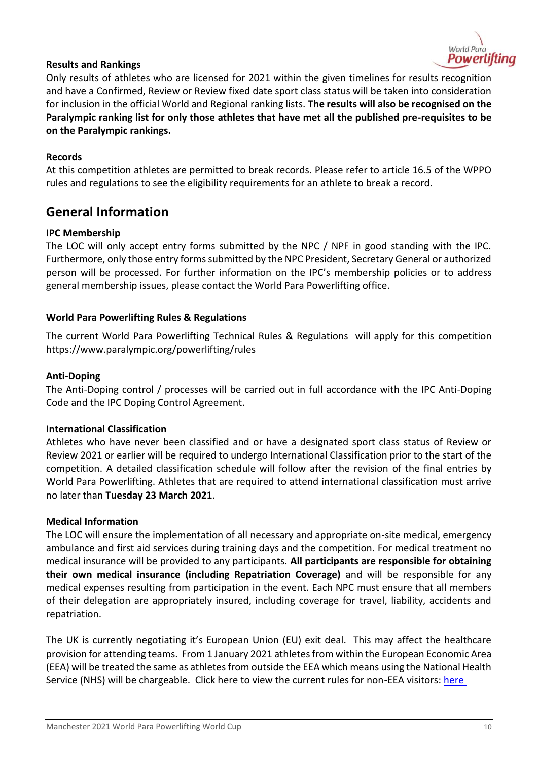

## <span id="page-9-0"></span>**Results and Rankings**

Only results of athletes who are licensed for 2021 within the given timelines for results recognition and have a Confirmed, Review or Review fixed date sport class status will be taken into consideration for inclusion in the official World and Regional ranking lists. **The results will also be recognised on the Paralympic ranking list for only those athletes that have met all the published pre-requisites to be on the Paralympic rankings.** 

## <span id="page-9-1"></span>**Records**

At this competition athletes are permitted to break records. Please refer to article 16.5 of the WPPO rules and regulations to see the eligibility requirements for an athlete to break a record.

## <span id="page-9-2"></span>**General Information**

### <span id="page-9-3"></span>**IPC Membership**

The LOC will only accept entry forms submitted by the NPC / NPF in good standing with the IPC. Furthermore, only those entry forms submitted by the NPC President, Secretary General or authorized person will be processed. For further information on the IPC's membership policies or to address general membership issues, please contact the World Para Powerlifting office.

#### <span id="page-9-4"></span>**World Para Powerlifting Rules & Regulations**

The current World Para Powerlifting Technical Rules & Regulations will apply for this competition https://www.paralympic.org/powerlifting/rules

#### <span id="page-9-5"></span>**Anti-Doping**

The Anti-Doping control / processes will be carried out in full accordance with the IPC Anti-Doping Code and the IPC Doping Control Agreement.

#### <span id="page-9-6"></span>**International Classification**

Athletes who have never been classified and or have a designated sport class status of Review or Review 2021 or earlier will be required to undergo International Classification prior to the start of the competition. A detailed classification schedule will follow after the revision of the final entries by World Para Powerlifting. Athletes that are required to attend international classification must arrive no later than **Tuesday 23 March 2021**.

#### <span id="page-9-7"></span>**Medical Information**

The LOC will ensure the implementation of all necessary and appropriate on-site medical, emergency ambulance and first aid services during training days and the competition. For medical treatment no medical insurance will be provided to any participants. **All participants are responsible for obtaining their own medical insurance (including Repatriation Coverage)** and will be responsible for any medical expenses resulting from participation in the event. Each NPC must ensure that all members of their delegation are appropriately insured, including coverage for travel, liability, accidents and repatriation.

The UK is currently negotiating it's European Union (EU) exit deal. This may affect the healthcare provision for attending teams. From 1 January 2021 athletes from within the European Economic Area (EEA) will be treated the same as athletes from outside the EEA which means using the National Health Service (NHS) will be chargeable. Click here to view the current rules for non-EEA visitors: [here](https://www.nhs.uk/using-the-nhs/nhs-services/visiting-or-moving-to-england/visitors-from-outside-the-european-economic-area-eea/)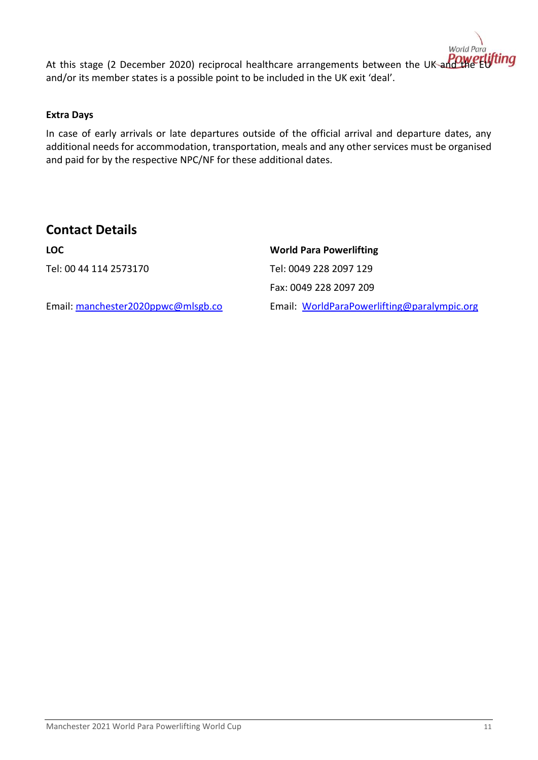ting At this stage (2 December 2020) reciprocal healthcare arrangements between the UK and the and/or its member states is a possible point to be included in the UK exit 'deal'.

## <span id="page-10-0"></span>**Extra Days**

In case of early arrivals or late departures outside of the official arrival and departure dates, any additional needs for accommodation, transportation, meals and any other services must be organised and paid for by the respective NPC/NF for these additional dates.

## <span id="page-10-1"></span>**Contact Details**

**LOC World Para Powerlifting** Tel: 00 44 114 2573170 Tel: 0049 228 2097 129

Fax: 0049 228 2097 209

Email: [manchester2020ppwc@mlsgb.co](mailto:manchester2020ppwc@mlsgb.co) Email: [WorldParaPowerlifting@paralympic.org](mailto:WorldParaPowerlifting@paralympic.org)